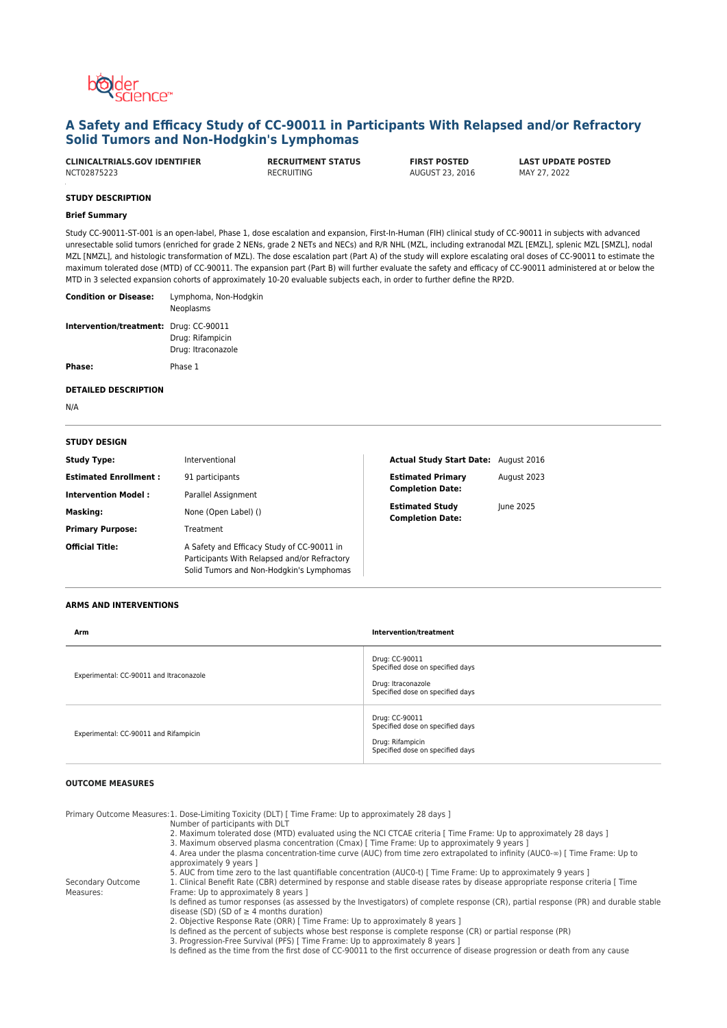

# **A Safety and Efficacy Study of CC-90011 in Participants With Relapsed and/or Refractory Solid Tumors and Non-Hodgkin's Lymphomas**

**CLINICALTRIALS.GOV IDENTIFIER RECRUITMENT STATUS FIRST POSTED LAST UPDATE POSTED**

AUGUST 23, 2016

## **STUDY DESCRIPTION**

## **Brief Summary**

Study CC-90011-ST-001 is an open-label, Phase 1, dose escalation and expansion, First-In-Human (FIH) clinical study of CC-90011 in subjects with advanced unresectable solid tumors (enriched for grade 2 NENs, grade 2 NETs and NECs) and R/R NHL (MZL, including extranodal MZL [EMZL], splenic MZL [SMZL], nodal MZL [NMZL], and histologic transformation of MZL). The dose escalation part (Part A) of the study will explore escalating oral doses of CC-90011 to estimate the maximum tolerated dose (MTD) of CC-90011. The expansion part (Part B) will further evaluate the safety and efficacy of CC-90011 administered at or below the MTD in 3 selected expansion cohorts of approximately 10-20 evaluable subjects each, in order to further define the RP2D.

| <b>Condition or Disease:</b>                  | Lymphoma, Non-Hodgkin<br>Neoplasms     |
|-----------------------------------------------|----------------------------------------|
| <b>Intervention/treatment: Drug: CC-90011</b> | Drug: Rifampicin<br>Drug: Itraconazole |
| Phase:                                        | Phase 1                                |

#### **DETAILED DESCRIPTION**

N/A

| <b>STUDY DESIGN</b>          |                                                                                                                                        |                                                   |                  |
|------------------------------|----------------------------------------------------------------------------------------------------------------------------------------|---------------------------------------------------|------------------|
| <b>Study Type:</b>           | Interventional                                                                                                                         | <b>Actual Study Start Date: August 2016</b>       |                  |
| <b>Estimated Enrollment:</b> | 91 participants                                                                                                                        | <b>Estimated Primary</b>                          | August 2023      |
| <b>Intervention Model:</b>   | Parallel Assignment                                                                                                                    | <b>Completion Date:</b>                           |                  |
| <b>Masking:</b>              | None (Open Label) ()                                                                                                                   | <b>Estimated Study</b><br><b>Completion Date:</b> | <b>lune 2025</b> |
| <b>Primary Purpose:</b>      | Treatment                                                                                                                              |                                                   |                  |
| <b>Official Title:</b>       | A Safety and Efficacy Study of CC-90011 in<br>Participants With Relapsed and/or Refractory<br>Solid Tumors and Non-Hodgkin's Lymphomas |                                                   |                  |

## **ARMS AND INTERVENTIONS**

| Arm                                     | Intervention/treatment                                                                                       |
|-----------------------------------------|--------------------------------------------------------------------------------------------------------------|
| Experimental: CC-90011 and Itraconazole | Drug: CC-90011<br>Specified dose on specified days<br>Drug: Itraconazole<br>Specified dose on specified days |
| Experimental: CC-90011 and Rifampicin   | Drug: CC-90011<br>Specified dose on specified days<br>Drug: Rifampicin<br>Specified dose on specified days   |

## **OUTCOME MEASURES**

Secondary Outcome Measures:

Primary Outcome Measures: 1. Dose-Limiting Toxicity (DLT) [ Time Frame: Up to approximately 28 days ]

- Number of participants with DLT
- 2. Maximum tolerated dose (MTD) evaluated using the NCI CTCAE criteria [ Time Frame: Up to approximately 28 days ]
- 3. Maximum observed plasma concentration (Cmax) [ Time Frame: Up to approximately 9 years ]

4. Area under the plasma concentration-time curve (AUC) from time zero extrapolated to infinity (AUC0-∞) [ Time Frame: Up to approximately 9 years ]

5. AUC from time zero to the last quantifiable concentration (AUC0-t) [ Time Frame: Up to approximately 9 years ]

1. Clinical Benefit Rate (CBR) determined by response and stable disease rates by disease appropriate response criteria [ Time Frame: Up to approximately 8 years ]

Is defined as tumor responses (as assessed by the Investigators) of complete response (CR), partial response (PR) and durable stable disease (SD) (SD of  $\geq$  4 months duration)

2. Objective Response Rate (ORR) [ Time Frame: Up to approximately 8 years ]

Is defined as the percent of subjects whose best response is complete response (CR) or partial response (PR)

3. Progression-Free Survival (PFS) [ Time Frame: Up to approximately 8 years ]

Is defined as the time from the first dose of CC-90011 to the first occurrence of disease progression or death from any cause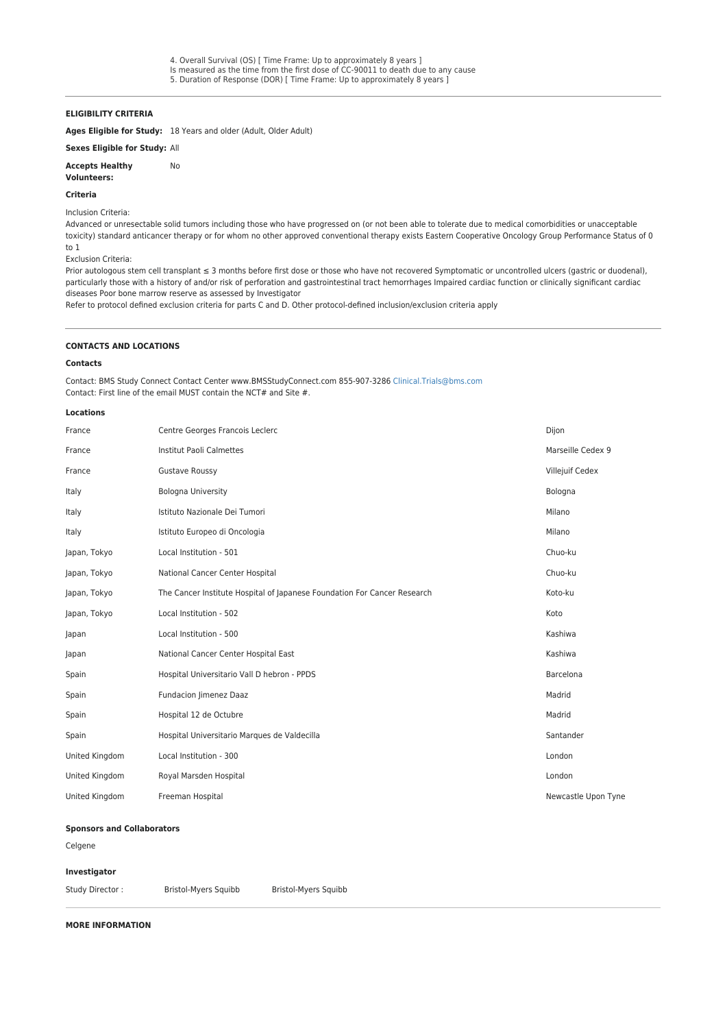## **ELIGIBILITY CRITERIA**

**Ages Eligible for Study:** 18 Years and older (Adult, Older Adult)

No

# **Sexes Eligible for Study:** All

**Accepts Healthy**

#### **Volunteers:**

## **Criteria**

Inclusion Criteria:

Advanced or unresectable solid tumors including those who have progressed on (or not been able to tolerate due to medical comorbidities or unacceptable toxicity) standard anticancer therapy or for whom no other approved conventional therapy exists Eastern Cooperative Oncology Group Performance Status of 0 to 1

Exclusion Criteria:

Prior autologous stem cell transplant ≤ 3 months before first dose or those who have not recovered Symptomatic or uncontrolled ulcers (gastric or duodenal), particularly those with a history of and/or risk of perforation and gastrointestinal tract hemorrhages Impaired cardiac function or clinically significant cardiac diseases Poor bone marrow reserve as assessed by Investigator

Refer to protocol defined exclusion criteria for parts C and D. Other protocol-defined inclusion/exclusion criteria apply

## **CONTACTS AND LOCATIONS**

## **Contacts**

Contact: BMS Study Connect Contact Center www.BMSStudyConnect.com 855-907-3286 [Clinical.Trials@bms.com](mailto:Clinical.Trials@bms.com) Contact: First line of the email MUST contain the NCT# and Site #.

#### **Locations**

| France         | Centre Georges Francois Leclerc                                          | Dijon               |
|----------------|--------------------------------------------------------------------------|---------------------|
| France         | Marseille Cedex 9<br><b>Institut Paoli Calmettes</b>                     |                     |
| France         | <b>Gustave Roussy</b>                                                    | Villejuif Cedex     |
| Italy          | <b>Bologna University</b>                                                | Bologna             |
| Italy          | Istituto Nazionale Dei Tumori                                            | Milano              |
| Italy          | Istituto Europeo di Oncologia                                            | Milano              |
| Japan, Tokyo   | Local Institution - 501                                                  | Chuo-ku             |
| Japan, Tokyo   | National Cancer Center Hospital                                          | Chuo-ku             |
| Japan, Tokyo   | The Cancer Institute Hospital of Japanese Foundation For Cancer Research | Koto-ku             |
| Japan, Tokyo   | Local Institution - 502                                                  | Koto                |
| Japan          | Local Institution - 500                                                  | Kashiwa             |
| Japan          | National Cancer Center Hospital East                                     | Kashiwa             |
| Spain          | Hospital Universitario Vall D hebron - PPDS                              | Barcelona           |
| Spain          | Fundacion Jimenez Daaz                                                   | Madrid              |
| Spain          | Hospital 12 de Octubre                                                   | Madrid              |
| Spain          | Hospital Universitario Marques de Valdecilla                             | Santander           |
| United Kingdom | Local Institution - 300                                                  | London              |
| United Kingdom | Royal Marsden Hospital                                                   | London              |
| United Kingdom | Freeman Hospital                                                         | Newcastle Upon Tyne |

### **Sponsors and Collaborators**

Celgene

## **Investigator**

Study Director : Bristol-Myers Squibb Bristol-Myers Squibb

## **MORE INFORMATION**